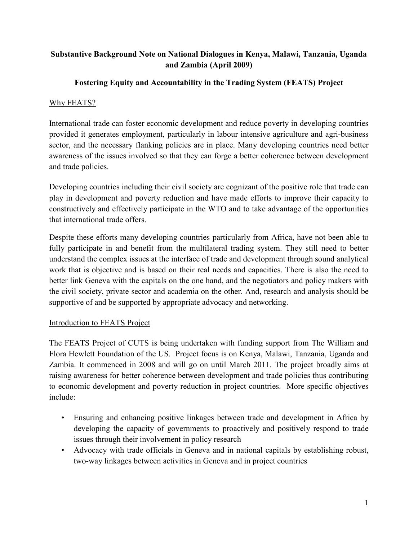## Substantive Background Note on National Dialogues in Kenya, Malawi, Tanzania, Uganda and Zambia (April 2009)

# Fostering Equity and Accountability in the Trading System (FEATS) Project

### Why FEATS?

International trade can foster economic development and reduce poverty in developing countries provided it generates employment, particularly in labour intensive agriculture and agri-business sector, and the necessary flanking policies are in place. Many developing countries need better awareness of the issues involved so that they can forge a better coherence between development and trade policies.

Developing countries including their civil society are cognizant of the positive role that trade can play in development and poverty reduction and have made efforts to improve their capacity to constructively and effectively participate in the WTO and to take advantage of the opportunities that international trade offers.

Despite these efforts many developing countries particularly from Africa, have not been able to fully participate in and benefit from the multilateral trading system. They still need to better understand the complex issues at the interface of trade and development through sound analytical work that is objective and is based on their real needs and capacities. There is also the need to better link Geneva with the capitals on the one hand, and the negotiators and policy makers with the civil society, private sector and academia on the other. And, research and analysis should be supportive of and be supported by appropriate advocacy and networking.

### Introduction to FEATS Project

The FEATS Project of CUTS is being undertaken with funding support from The William and Flora Hewlett Foundation of the US. Project focus is on Kenya, Malawi, Tanzania, Uganda and Zambia. It commenced in 2008 and will go on until March 2011. The project broadly aims at raising awareness for better coherence between development and trade policies thus contributing to economic development and poverty reduction in project countries. More specific objectives include:

- Ensuring and enhancing positive linkages between trade and development in Africa by developing the capacity of governments to proactively and positively respond to trade issues through their involvement in policy research
- Advocacy with trade officials in Geneva and in national capitals by establishing robust, two-way linkages between activities in Geneva and in project countries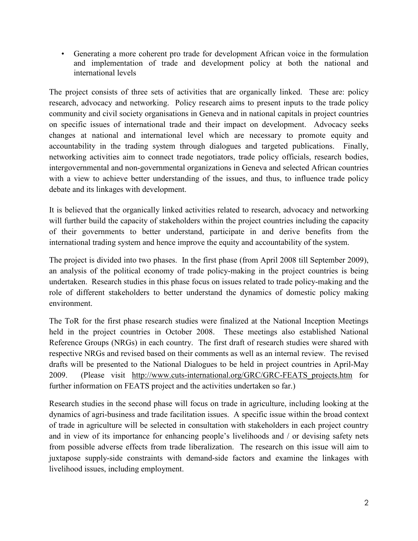• Generating a more coherent pro trade for development African voice in the formulation and implementation of trade and development policy at both the national and international levels

The project consists of three sets of activities that are organically linked. These are: policy research, advocacy and networking. Policy research aims to present inputs to the trade policy community and civil society organisations in Geneva and in national capitals in project countries on specific issues of international trade and their impact on development. Advocacy seeks changes at national and international level which are necessary to promote equity and accountability in the trading system through dialogues and targeted publications. Finally, networking activities aim to connect trade negotiators, trade policy officials, research bodies, intergovernmental and non-governmental organizations in Geneva and selected African countries with a view to achieve better understanding of the issues, and thus, to influence trade policy debate and its linkages with development.

It is believed that the organically linked activities related to research, advocacy and networking will further build the capacity of stakeholders within the project countries including the capacity of their governments to better understand, participate in and derive benefits from the international trading system and hence improve the equity and accountability of the system.

The project is divided into two phases. In the first phase (from April 2008 till September 2009), an analysis of the political economy of trade policy-making in the project countries is being undertaken. Research studies in this phase focus on issues related to trade policy-making and the role of different stakeholders to better understand the dynamics of domestic policy making environment.

The ToR for the first phase research studies were finalized at the National Inception Meetings held in the project countries in October 2008. These meetings also established National Reference Groups (NRGs) in each country. The first draft of research studies were shared with respective NRGs and revised based on their comments as well as an internal review. The revised drafts will be presented to the National Dialogues to be held in project countries in April-May 2009. (Please visit http://www.cuts-international.org/GRC/GRC-FEATS\_projects.htm for further information on FEATS project and the activities undertaken so far.)

Research studies in the second phase will focus on trade in agriculture, including looking at the dynamics of agri-business and trade facilitation issues. A specific issue within the broad context of trade in agriculture will be selected in consultation with stakeholders in each project country and in view of its importance for enhancing people's livelihoods and / or devising safety nets from possible adverse effects from trade liberalization. The research on this issue will aim to juxtapose supply-side constraints with demand-side factors and examine the linkages with livelihood issues, including employment.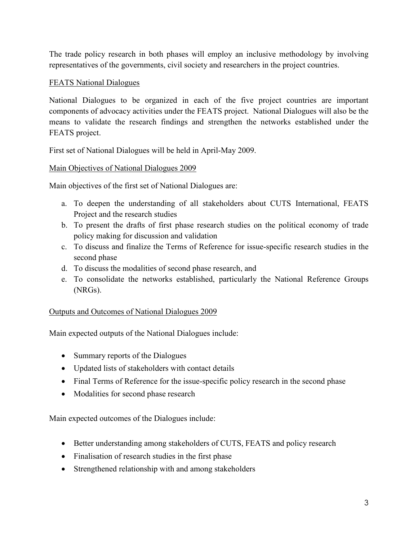The trade policy research in both phases will employ an inclusive methodology by involving representatives of the governments, civil society and researchers in the project countries.

#### FEATS National Dialogues

National Dialogues to be organized in each of the five project countries are important components of advocacy activities under the FEATS project. National Dialogues will also be the means to validate the research findings and strengthen the networks established under the FEATS project.

First set of National Dialogues will be held in April-May 2009.

### Main Objectives of National Dialogues 2009

Main objectives of the first set of National Dialogues are:

- a. To deepen the understanding of all stakeholders about CUTS International, FEATS Project and the research studies
- b. To present the drafts of first phase research studies on the political economy of trade policy making for discussion and validation
- c. To discuss and finalize the Terms of Reference for issue-specific research studies in the second phase
- d. To discuss the modalities of second phase research, and
- e. To consolidate the networks established, particularly the National Reference Groups (NRGs).

#### Outputs and Outcomes of National Dialogues 2009

Main expected outputs of the National Dialogues include:

- Summary reports of the Dialogues
- Updated lists of stakeholders with contact details
- Final Terms of Reference for the issue-specific policy research in the second phase
- Modalities for second phase research

Main expected outcomes of the Dialogues include:

- Better understanding among stakeholders of CUTS, FEATS and policy research
- Finalisation of research studies in the first phase
- Strengthened relationship with and among stakeholders